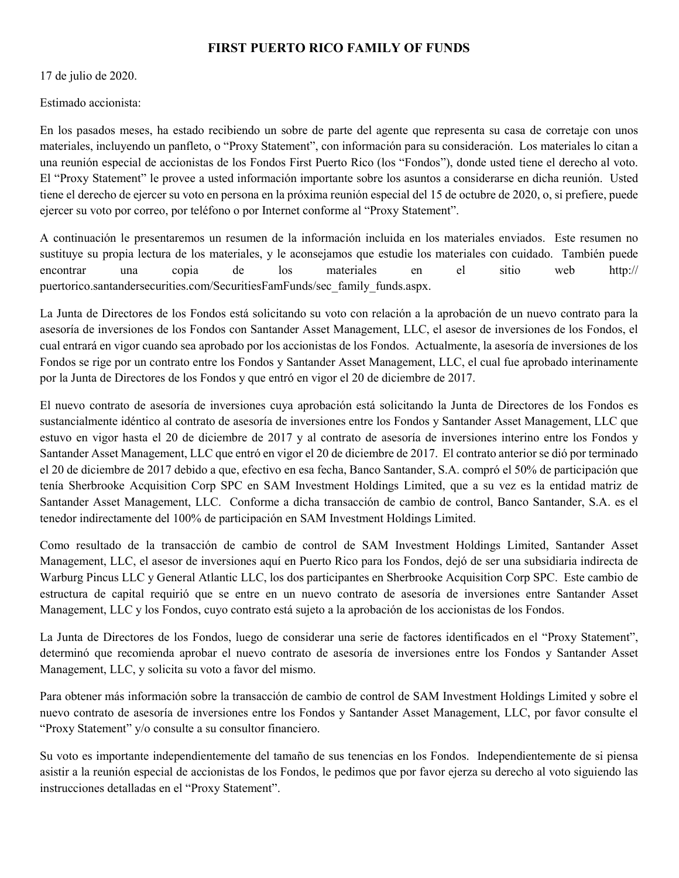## FIRST PUERTO RICO FAMILY OF FUNDS

17 de julio de 2020.

Estimado accionista:

En los pasados meses, ha estado recibiendo un sobre de parte del agente que representa su casa de corretaje con unos materiales, incluyendo un panfleto, o "Proxy Statement", con información para su consideración. Los materiales lo citan a una reunión especial de accionistas de los Fondos First Puerto Rico (los "Fondos"), donde usted tiene el derecho al voto. El "Proxy Statement" le provee a usted información importante sobre los asuntos a considerarse en dicha reunión. Usted tiene el derecho de ejercer su voto en persona en la próxima reunión especial del 15 de octubre de 2020, o, si prefiere, puede ejercer su voto por correo, por teléfono o por Internet conforme al "Proxy Statement".

A continuación le presentaremos un resumen de la información incluida en los materiales enviados. Este resumen no sustituye su propia lectura de los materiales, y le aconsejamos que estudie los materiales con cuidado. También puede encontrar una copia de los materiales en el sitio web http:// puertorico.santandersecurities.com/SecuritiesFamFunds/sec\_family\_funds.aspx.

La Junta de Directores de los Fondos está solicitando su voto con relación a la aprobación de un nuevo contrato para la asesoría de inversiones de los Fondos con Santander Asset Management, LLC, el asesor de inversiones de los Fondos, el cual entrará en vigor cuando sea aprobado por los accionistas de los Fondos. Actualmente, la asesoría de inversiones de los Fondos se rige por un contrato entre los Fondos y Santander Asset Management, LLC, el cual fue aprobado interinamente por la Junta de Directores de los Fondos y que entró en vigor el 20 de diciembre de 2017.

El nuevo contrato de asesoría de inversiones cuya aprobación está solicitando la Junta de Directores de los Fondos es sustancialmente idéntico al contrato de asesoría de inversiones entre los Fondos y Santander Asset Management, LLC que estuvo en vigor hasta el 20 de diciembre de 2017 y al contrato de asesoría de inversiones interino entre los Fondos y Santander Asset Management, LLC que entró en vigor el 20 de diciembre de 2017. El contrato anterior se dió por terminado el 20 de diciembre de 2017 debido a que, efectivo en esa fecha, Banco Santander, S.A. compró el 50% de participación que tenía Sherbrooke Acquisition Corp SPC en SAM Investment Holdings Limited, que a su vez es la entidad matriz de Santander Asset Management, LLC. Conforme a dicha transacción de cambio de control, Banco Santander, S.A. es el tenedor indirectamente del 100% de participación en SAM Investment Holdings Limited.

Como resultado de la transacción de cambio de control de SAM Investment Holdings Limited, Santander Asset Management, LLC, el asesor de inversiones aquí en Puerto Rico para los Fondos, dejó de ser una subsidiaria indirecta de Warburg Pincus LLC y General Atlantic LLC, los dos participantes en Sherbrooke Acquisition Corp SPC. Este cambio de estructura de capital requirió que se entre en un nuevo contrato de asesoría de inversiones entre Santander Asset Management, LLC y los Fondos, cuyo contrato está sujeto a la aprobación de los accionistas de los Fondos.

La Junta de Directores de los Fondos, luego de considerar una serie de factores identificados en el "Proxy Statement", determinó que recomienda aprobar el nuevo contrato de asesoría de inversiones entre los Fondos y Santander Asset Management, LLC, y solicita su voto a favor del mismo.

Para obtener más información sobre la transacción de cambio de control de SAM Investment Holdings Limited y sobre el nuevo contrato de asesoría de inversiones entre los Fondos y Santander Asset Management, LLC, por favor consulte el "Proxy Statement" y/o consulte a su consultor financiero.

Su voto es importante independientemente del tamaño de sus tenencias en los Fondos. Independientemente de si piensa asistir a la reunión especial de accionistas de los Fondos, le pedimos que por favor ejerza su derecho al voto siguiendo las instrucciones detalladas en el "Proxy Statement".